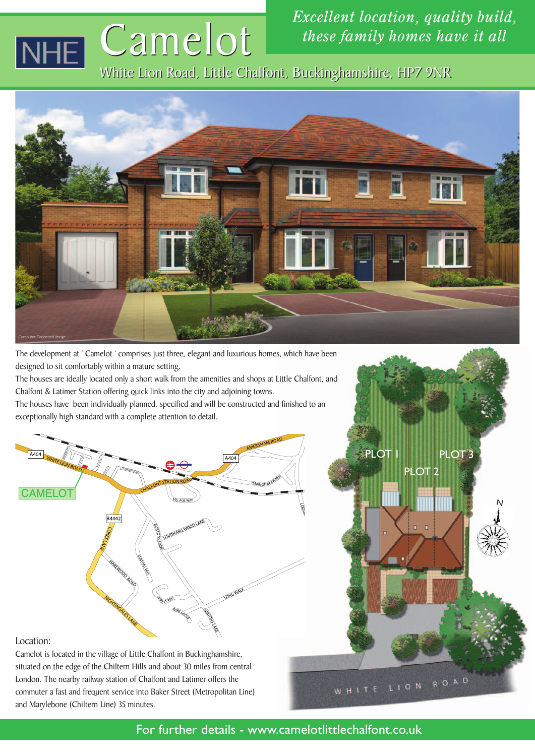# Camelot Camelot  $\overline{\mathsf{H}\mathsf{E}}$

*Excellent location, quality build, these family homes have it all*

PLOT

WHITE

PLOT<sub>2</sub>

LION ROAD

PLOT<sub>3</sub>

N

White Lion Road, Little Chalfont, Buckinghamshire, HP7 9NR White Lion Road, Little Chalfont, Buckinghamshire, HP7 9NR



The development at ' Camelot ' comprises just three, elegant and luxurious homes, which have been designed to sit comfortably within a mature setting.

The houses are ideally located only a short walk from the amenities and shops at Little Chalfont, and Chalfont & Latimer Station offering quick links into the city and adjoining towns.

The houses have been individually planned, specified and will be constructed and finished to an exceptionally high standard with a complete attention to detail.



#### Location:

Camelot is located in the village of Little Chalfont in Buckinghamshire, situated on the edge of the Chiltern Hills and about 30 miles from central London. The nearby railway station of Chalfont and Latimer offers the commuter a fast and frequent service into Baker Street (Metropolitan Line) and Marylebone (Chiltern Line) 35 minutes.

For further details - www.camelotlittlechalfont.co.uk